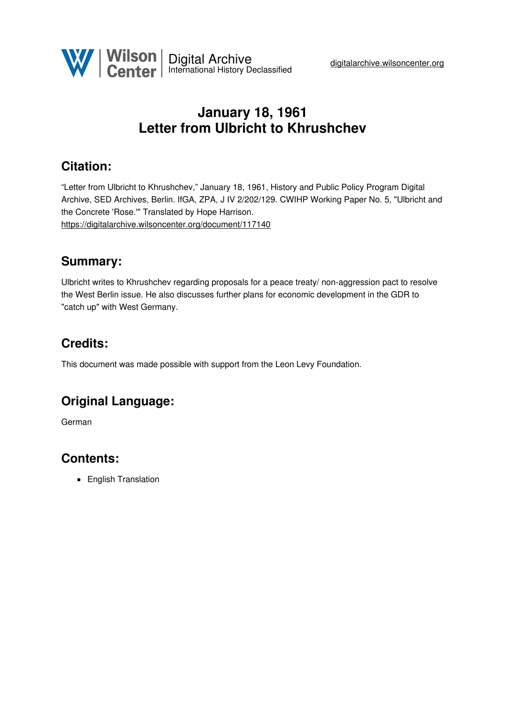

# **January 18, 1961 Letter from Ulbricht to Khrushchev**

## **Citation:**

"Letter from Ulbricht to Khrushchev," January 18, 1961, History and Public Policy Program Digital Archive, SED Archives, Berlin. IfGA, ZPA, J IV 2/202/129. CWIHP Working Paper No. 5, "Ulbricht and the Concrete 'Rose.'" Translated by Hope Harrison. <https://digitalarchive.wilsoncenter.org/document/117140>

### **Summary:**

Ulbricht writes to Khrushchev regarding proposals for a peace treaty/ non-aggression pact to resolve the West Berlin issue. He also discusses further plans for economic development in the GDR to "catch up" with West Germany.

## **Credits:**

This document was made possible with support from the Leon Levy Foundation.

## **Original Language:**

German

## **Contents:**

• English Translation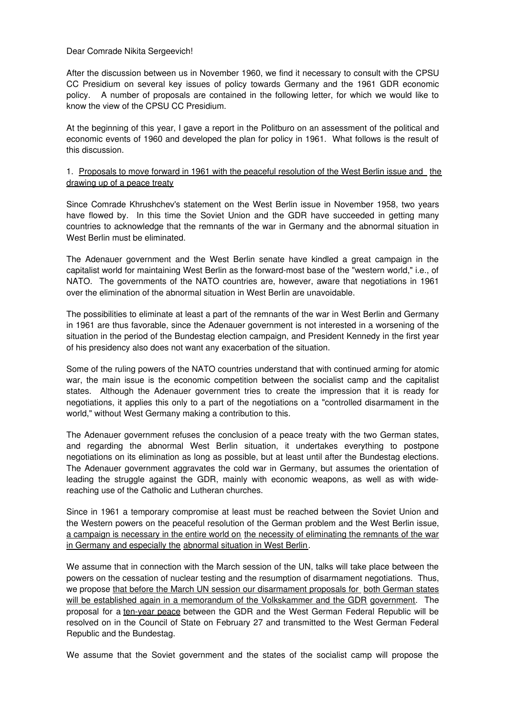#### Dear Comrade Nikita Sergeevich!

After the discussion between us in November 1960, we find it necessary to consult with the CPSU CC Presidium on several key issues of policy towards Germany and the 1961 GDR economic policy. A number of proposals are contained in the following letter, for which we would like to know the view of the CPSU CC Presidium.

At the beginning of this year, I gave a report in the Politburo on an assessment of the political and economic events of 1960 and developed the plan for policy in 1961. What follows is the result of this discussion.

### 1. Proposals to move forward in 1961 with the peaceful resolution of the West Berlin issue and the drawing up of a peace treaty

Since Comrade Khrushchev's statement on the West Berlin issue in November 1958, two years have flowed by. In this time the Soviet Union and the GDR have succeeded in getting many countries to acknowledge that the remnants of the war in Germany and the abnormal situation in West Berlin must be eliminated.

The Adenauer government and the West Berlin senate have kindled a great campaign in the capitalist world for maintaining West Berlin as the forward-most base of the "western world," i.e., of NATO. The governments of the NATO countries are, however, aware that negotiations in 1961 over the elimination of the abnormal situation in West Berlin are unavoidable.

The possibilities to eliminate at least a part of the remnants of the war in West Berlin and Germany in 1961 are thus favorable, since the Adenauer government is not interested in a worsening of the situation in the period of the Bundestag election campaign, and President Kennedy in the first year of his presidency also does not want any exacerbation of the situation.

Some of the ruling powers of the NATO countries understand that with continued arming for atomic war, the main issue is the economic competition between the socialist camp and the capitalist states. Although the Adenauer government tries to create the impression that it is ready for negotiations, it applies this only to a part of the negotiations on a "controlled disarmament in the world," without West Germany making a contribution to this.

The Adenauer government refuses the conclusion of a peace treaty with the two German states, and regarding the abnormal West Berlin situation, it undertakes everything to postpone negotiations on its elimination as long as possible, but at least until after the Bundestag elections. The Adenauer government aggravates the cold war in Germany, but assumes the orientation of leading the struggle against the GDR, mainly with economic weapons, as well as with widereaching use of the Catholic and Lutheran churches.

Since in 1961 a temporary compromise at least must be reached between the Soviet Union and the Western powers on the peaceful resolution of the German problem and the West Berlin issue, a campaign is necessary in the entire world on the necessity of eliminating the remnants of the war in Germany and especially the abnormal situation in West Berlin.

We assume that in connection with the March session of the UN, talks will take place between the powers on the cessation of nuclear testing and the resumption of disarmament negotiations. Thus, we propose that before the March UN session our disarmament proposals for both German states will be established again in a memorandum of the Volkskammer and the GDR government. The proposal for a ten-year peace between the GDR and the West German Federal Republic will be resolved on in the Council of State on February 27 and transmitted to the West German Federal Republic and the Bundestag.

We assume that the Soviet government and the states of the socialist camp will propose the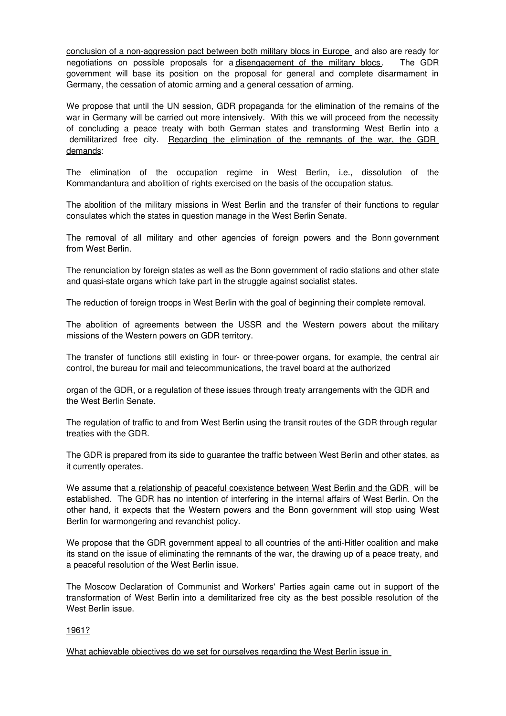conclusion of a non-aggression pact between both military blocs in Europe and also are ready for negotiations on possible proposals for a disengagement of the military blocs. The GDR government will base its position on the proposal for general and complete disarmament in Germany, the cessation of atomic arming and a general cessation of arming.

We propose that until the UN session, GDR propaganda for the elimination of the remains of the war in Germany will be carried out more intensively. With this we will proceed from the necessity of concluding a peace treaty with both German states and transforming West Berlin into a demilitarized free city. Regarding the elimination of the remnants of the war, the GDR demands:

The elimination of the occupation regime in West Berlin, i.e., dissolution of the Kommandantura and abolition of rights exercised on the basis of the occupation status.

The abolition of the military missions in West Berlin and the transfer of their functions to regular consulates which the states in question manage in the West Berlin Senate.

The removal of all military and other agencies of foreign powers and the Bonn government from West Berlin.

The renunciation by foreign states as well as the Bonn government of radio stations and other state and quasi-state organs which take part in the struggle against socialist states.

The reduction of foreign troops in West Berlin with the goal of beginning their complete removal.

The abolition of agreements between the USSR and the Western powers about the military missions of the Western powers on GDR territory.

The transfer of functions still existing in four- or three-power organs, for example, the central air control, the bureau for mail and telecommunications, the travel board at the authorized

organ of the GDR, or a regulation of these issues through treaty arrangements with the GDR and the West Berlin Senate.

The regulation of traffic to and from West Berlin using the transit routes of the GDR through regular treaties with the GDR.

The GDR is prepared from its side to guarantee the traffic between West Berlin and other states, as it currently operates.

We assume that a relationship of peaceful coexistence between West Berlin and the GDR will be established. The GDR has no intention of interfering in the internal affairs of West Berlin. On the other hand, it expects that the Western powers and the Bonn government will stop using West Berlin for warmongering and revanchist policy.

We propose that the GDR government appeal to all countries of the anti-Hitler coalition and make its stand on the issue of eliminating the remnants of the war, the drawing up of a peace treaty, and a peaceful resolution of the West Berlin issue.

The Moscow Declaration of Communist and Workers' Parties again came out in support of the transformation of West Berlin into a demilitarized free city as the best possible resolution of the West Berlin issue.

### 1961?

What achievable objectives do we set for ourselves regarding the West Berlin issue in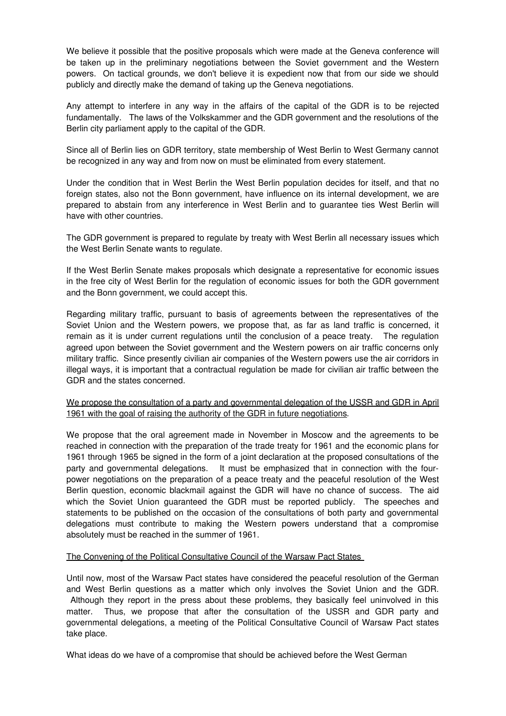We believe it possible that the positive proposals which were made at the Geneva conference will be taken up in the preliminary negotiations between the Soviet government and the Western powers. On tactical grounds, we don't believe it is expedient now that from our side we should publicly and directly make the demand of taking up the Geneva negotiations.

Any attempt to interfere in any way in the affairs of the capital of the GDR is to be rejected fundamentally. The laws of the Volkskammer and the GDR government and the resolutions of the Berlin city parliament apply to the capital of the GDR.

Since all of Berlin lies on GDR territory, state membership of West Berlin to West Germany cannot be recognized in any way and from now on must be eliminated from every statement.

Under the condition that in West Berlin the West Berlin population decides for itself, and that no foreign states, also not the Bonn government, have influence on its internal development, we are prepared to abstain from any interference in West Berlin and to guarantee ties West Berlin will have with other countries.

The GDR government is prepared to regulate by treaty with West Berlin all necessary issues which the West Berlin Senate wants to regulate.

If the West Berlin Senate makes proposals which designate a representative for economic issues in the free city of West Berlin for the regulation of economic issues for both the GDR government and the Bonn government, we could accept this.

Regarding military traffic, pursuant to basis of agreements between the representatives of the Soviet Union and the Western powers, we propose that, as far as land traffic is concerned, it remain as it is under current regulations until the conclusion of a peace treaty. The regulation agreed upon between the Soviet government and the Western powers on air traffic concerns only military traffic. Since presently civilian air companies of the Western powers use the air corridors in illegal ways, it is important that a contractual regulation be made for civilian air traffic between the GDR and the states concerned.

### We propose the consultation of a party and governmental delegation of the USSR and GDR in April 1961 with the goal of raising the authority of the GDR in future negotiations.

We propose that the oral agreement made in November in Moscow and the agreements to be reached in connection with the preparation of the trade treaty for 1961 and the economic plans for 1961 through 1965 be signed in the form of a joint declaration at the proposed consultations of the party and governmental delegations. It must be emphasized that in connection with the fourpower negotiations on the preparation of a peace treaty and the peaceful resolution of the West Berlin question, economic blackmail against the GDR will have no chance of success. The aid which the Soviet Union guaranteed the GDR must be reported publicly. The speeches and statements to be published on the occasion of the consultations of both party and governmental delegations must contribute to making the Western powers understand that a compromise absolutely must be reached in the summer of 1961.

### The Convening of the Political Consultative Council of the Warsaw Pact States

Until now, most of the Warsaw Pact states have considered the peaceful resolution of the German and West Berlin questions as a matter which only involves the Soviet Union and the GDR. Although they report in the press about these problems, they basically feel uninvolved in this matter. Thus, we propose that after the consultation of the USSR and GDR party and governmental delegations, a meeting of the Political Consultative Council of Warsaw Pact states take place.

What ideas do we have of a compromise that should be achieved before the West German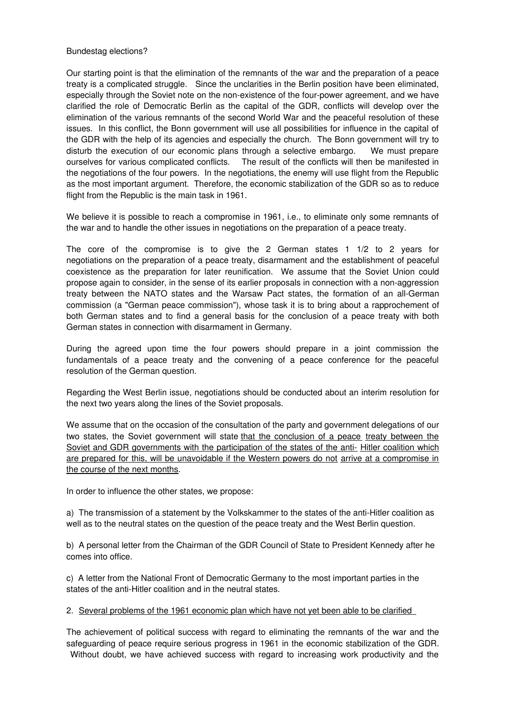#### Bundestag elections?

Our starting point is that the elimination of the remnants of the war and the preparation of a peace treaty is a complicated struggle. Since the unclarities in the Berlin position have been eliminated, especially through the Soviet note on the non-existence of the four-power agreement, and we have clarified the role of Democratic Berlin as the capital of the GDR, conflicts will develop over the elimination of the various remnants of the second World War and the peaceful resolution of these issues. In this conflict, the Bonn government will use all possibilities for influence in the capital of the GDR with the help of its agencies and especially the church. The Bonn government will try to disturb the execution of our economic plans through a selective embargo. We must prepare ourselves for various complicated conflicts. The result of the conflicts will then be manifested in the negotiations of the four powers. In the negotiations, the enemy will use flight from the Republic as the most important argument. Therefore, the economic stabilization of the GDR so as to reduce flight from the Republic is the main task in 1961.

We believe it is possible to reach a compromise in 1961, i.e., to eliminate only some remnants of the war and to handle the other issues in negotiations on the preparation of a peace treaty.

The core of the compromise is to give the 2 German states 1 1/2 to 2 years for negotiations on the preparation of a peace treaty, disarmament and the establishment of peaceful coexistence as the preparation for later reunification. We assume that the Soviet Union could propose again to consider, in the sense of its earlier proposals in connection with a non-aggression treaty between the NATO states and the Warsaw Pact states, the formation of an all-German commission (a "German peace commission"), whose task it is to bring about a rapprochement of both German states and to find a general basis for the conclusion of a peace treaty with both German states in connection with disarmament in Germany.

During the agreed upon time the four powers should prepare in a joint commission the fundamentals of a peace treaty and the convening of a peace conference for the peaceful resolution of the German question.

Regarding the West Berlin issue, negotiations should be conducted about an interim resolution for the next two years along the lines of the Soviet proposals.

We assume that on the occasion of the consultation of the party and government delegations of our two states, the Soviet government will state that the conclusion of a peace treaty between the Soviet and GDR governments with the participation of the states of the anti- Hitler coalition which are prepared for this, will be unavoidable if the Western powers do not arrive at a compromise in the course of the next months.

In order to influence the other states, we propose:

a) The transmission of a statement by the Volkskammer to the states of the anti-Hitler coalition as well as to the neutral states on the question of the peace treaty and the West Berlin question.

b) A personal letter from the Chairman of the GDR Council of State to President Kennedy after he comes into office.

c) A letter from the National Front of Democratic Germany to the most important parties in the states of the anti-Hitler coalition and in the neutral states.

2. Several problems of the 1961 economic plan which have not yet been able to be clarified

The achievement of political success with regard to eliminating the remnants of the war and the safeguarding of peace require serious progress in 1961 in the economic stabilization of the GDR. Without doubt, we have achieved success with regard to increasing work productivity and the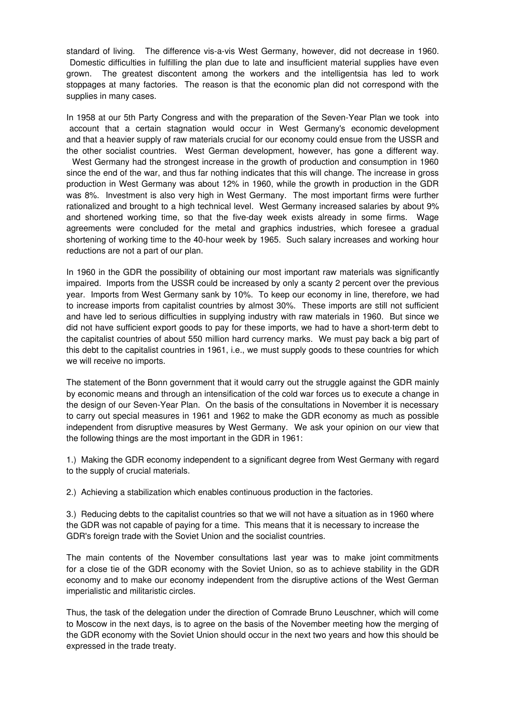standard of living. The difference vis-a-vis West Germany, however, did not decrease in 1960. Domestic difficulties in fulfilling the plan due to late and insufficient material supplies have even grown. The greatest discontent among the workers and the intelligentsia has led to work stoppages at many factories. The reason is that the economic plan did not correspond with the supplies in many cases.

In 1958 at our 5th Party Congress and with the preparation of the Seven-Year Plan we took into account that a certain stagnation would occur in West Germany's economic development and that a heavier supply of raw materials crucial for our economy could ensue from the USSR and the other socialist countries. West German development, however, has gone a different way. West Germany had the strongest increase in the growth of production and consumption in 1960 since the end of the war, and thus far nothing indicates that this will change. The increase in gross production in West Germany was about 12% in 1960, while the growth in production in the GDR

was 8%. Investment is also very high in West Germany. The most important firms were further rationalized and brought to a high technical level. West Germany increased salaries by about 9% and shortened working time, so that the five-day week exists already in some firms. Wage agreements were concluded for the metal and graphics industries, which foresee a gradual shortening of working time to the 40-hour week by 1965. Such salary increases and working hour reductions are not a part of our plan.

In 1960 in the GDR the possibility of obtaining our most important raw materials was significantly impaired. Imports from the USSR could be increased by only a scanty 2 percent over the previous year. Imports from West Germany sank by 10%. To keep our economy in line, therefore, we had to increase imports from capitalist countries by almost 30%. These imports are still not sufficient and have led to serious difficulties in supplying industry with raw materials in 1960. But since we did not have sufficient export goods to pay for these imports, we had to have a short-term debt to the capitalist countries of about 550 million hard currency marks. We must pay back a big part of this debt to the capitalist countries in 1961, i.e., we must supply goods to these countries for which we will receive no imports.

The statement of the Bonn government that it would carry out the struggle against the GDR mainly by economic means and through an intensification of the cold war forces us to execute a change in the design of our Seven-Year Plan. On the basis of the consultations in November it is necessary to carry out special measures in 1961 and 1962 to make the GDR economy as much as possible independent from disruptive measures by West Germany. We ask your opinion on our view that the following things are the most important in the GDR in 1961:

1.) Making the GDR economy independent to a significant degree from West Germany with regard to the supply of crucial materials.

2.) Achieving a stabilization which enables continuous production in the factories.

3.) Reducing debts to the capitalist countries so that we will not have a situation as in 1960 where the GDR was not capable of paying for a time. This means that it is necessary to increase the GDR's foreign trade with the Soviet Union and the socialist countries.

The main contents of the November consultations last year was to make joint commitments for a close tie of the GDR economy with the Soviet Union, so as to achieve stability in the GDR economy and to make our economy independent from the disruptive actions of the West German imperialistic and militaristic circles.

Thus, the task of the delegation under the direction of Comrade Bruno Leuschner, which will come to Moscow in the next days, is to agree on the basis of the November meeting how the merging of the GDR economy with the Soviet Union should occur in the next two years and how this should be expressed in the trade treaty.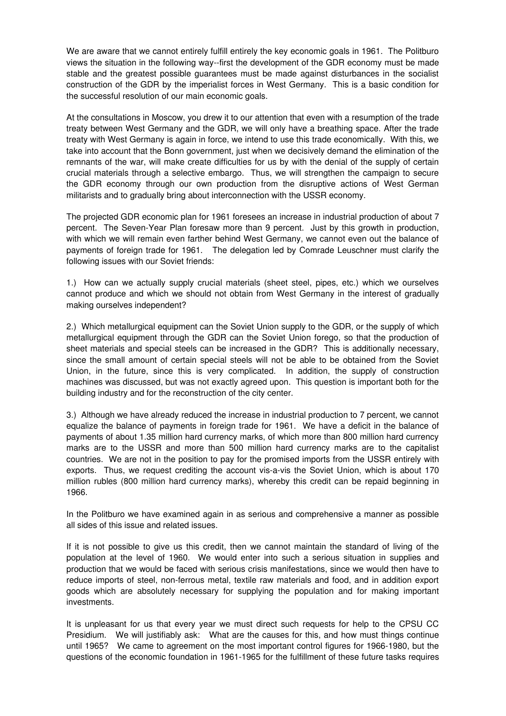We are aware that we cannot entirely fulfill entirely the key economic goals in 1961. The Politburo views the situation in the following way--first the development of the GDR economy must be made stable and the greatest possible guarantees must be made against disturbances in the socialist construction of the GDR by the imperialist forces in West Germany. This is a basic condition for the successful resolution of our main economic goals.

At the consultations in Moscow, you drew it to our attention that even with a resumption of the trade treaty between West Germany and the GDR, we will only have a breathing space. After the trade treaty with West Germany is again in force, we intend to use this trade economically. With this, we take into account that the Bonn government, just when we decisively demand the elimination of the remnants of the war, will make create difficulties for us by with the denial of the supply of certain crucial materials through a selective embargo. Thus, we will strengthen the campaign to secure the GDR economy through our own production from the disruptive actions of West German militarists and to gradually bring about interconnection with the USSR economy.

The projected GDR economic plan for 1961 foresees an increase in industrial production of about 7 percent. The Seven-Year Plan foresaw more than 9 percent. Just by this growth in production, with which we will remain even farther behind West Germany, we cannot even out the balance of payments of foreign trade for 1961. The delegation led by Comrade Leuschner must clarify the following issues with our Soviet friends:

1.) How can we actually supply crucial materials (sheet steel, pipes, etc.) which we ourselves cannot produce and which we should not obtain from West Germany in the interest of gradually making ourselves independent?

2.) Which metallurgical equipment can the Soviet Union supply to the GDR, or the supply of which metallurgical equipment through the GDR can the Soviet Union forego, so that the production of sheet materials and special steels can be increased in the GDR? This is additionally necessary, since the small amount of certain special steels will not be able to be obtained from the Soviet Union, in the future, since this is very complicated. In addition, the supply of construction machines was discussed, but was not exactly agreed upon. This question is important both for the building industry and for the reconstruction of the city center.

3.) Although we have already reduced the increase in industrial production to 7 percent, we cannot equalize the balance of payments in foreign trade for 1961. We have a deficit in the balance of payments of about 1.35 million hard currency marks, of which more than 800 million hard currency marks are to the USSR and more than 500 million hard currency marks are to the capitalist countries. We are not in the position to pay for the promised imports from the USSR entirely with exports. Thus, we request crediting the account vis-a-vis the Soviet Union, which is about 170 million rubles (800 million hard currency marks), whereby this credit can be repaid beginning in 1966.

In the Politburo we have examined again in as serious and comprehensive a manner as possible all sides of this issue and related issues.

If it is not possible to give us this credit, then we cannot maintain the standard of living of the population at the level of 1960. We would enter into such a serious situation in supplies and production that we would be faced with serious crisis manifestations, since we would then have to reduce imports of steel, non-ferrous metal, textile raw materials and food, and in addition export goods which are absolutely necessary for supplying the population and for making important investments.

It is unpleasant for us that every year we must direct such requests for help to the CPSU CC Presidium. We will justifiably ask: What are the causes for this, and how must things continue until 1965? We came to agreement on the most important control figures for 1966-1980, but the questions of the economic foundation in 1961-1965 for the fulfillment of these future tasks requires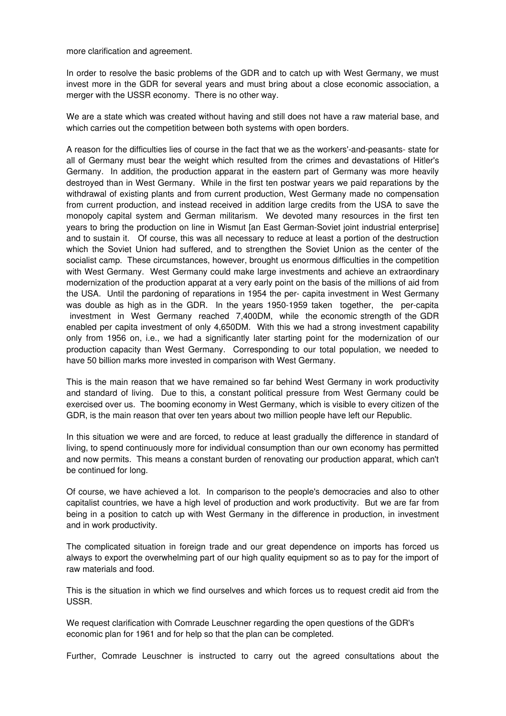more clarification and agreement.

In order to resolve the basic problems of the GDR and to catch up with West Germany, we must invest more in the GDR for several years and must bring about a close economic association, a merger with the USSR economy. There is no other way.

We are a state which was created without having and still does not have a raw material base, and which carries out the competition between both systems with open borders.

A reason for the difficulties lies of course in the fact that we as the workers'-and-peasants- state for all of Germany must bear the weight which resulted from the crimes and devastations of Hitler's Germany. In addition, the production apparat in the eastern part of Germany was more heavily destroyed than in West Germany. While in the first ten postwar years we paid reparations by the withdrawal of existing plants and from current production, West Germany made no compensation from current production, and instead received in addition large credits from the USA to save the monopoly capital system and German militarism. We devoted many resources in the first ten years to bring the production on line in Wismut [an East German-Soviet joint industrial enterprise] and to sustain it. Of course, this was all necessary to reduce at least a portion of the destruction which the Soviet Union had suffered, and to strengthen the Soviet Union as the center of the socialist camp. These circumstances, however, brought us enormous difficulties in the competition with West Germany. West Germany could make large investments and achieve an extraordinary modernization of the production apparat at a very early point on the basis of the millions of aid from the USA. Until the pardoning of reparations in 1954 the per- capita investment in West Germany was double as high as in the GDR. In the years 1950-1959 taken together, the per-capita investment in West Germany reached 7,400DM, while the economic strength of the GDR enabled per capita investment of only 4,650DM. With this we had a strong investment capability only from 1956 on, i.e., we had a significantly later starting point for the modernization of our production capacity than West Germany. Corresponding to our total population, we needed to have 50 billion marks more invested in comparison with West Germany.

This is the main reason that we have remained so far behind West Germany in work productivity and standard of living. Due to this, a constant political pressure from West Germany could be exercised over us. The booming economy in West Germany, which is visible to every citizen of the GDR, is the main reason that over ten years about two million people have left our Republic.

In this situation we were and are forced, to reduce at least gradually the difference in standard of living, to spend continuously more for individual consumption than our own economy has permitted and now permits. This means a constant burden of renovating our production apparat, which can't be continued for long.

Of course, we have achieved a lot. In comparison to the people's democracies and also to other capitalist countries, we have a high level of production and work productivity. But we are far from being in a position to catch up with West Germany in the difference in production, in investment and in work productivity.

The complicated situation in foreign trade and our great dependence on imports has forced us always to export the overwhelming part of our high quality equipment so as to pay for the import of raw materials and food.

This is the situation in which we find ourselves and which forces us to request credit aid from the USSR.

We request clarification with Comrade Leuschner regarding the open questions of the GDR's economic plan for 1961 and for help so that the plan can be completed.

Further, Comrade Leuschner is instructed to carry out the agreed consultations about the